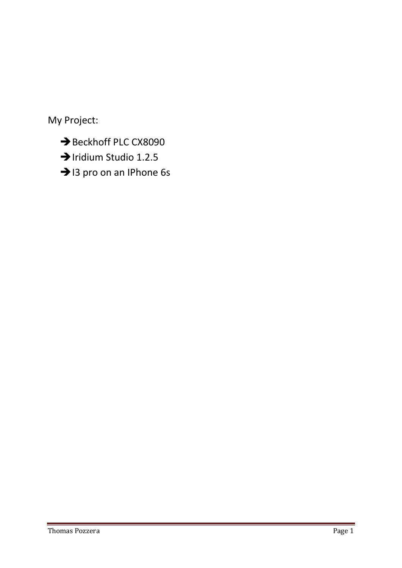My Project:

- Beckhoff PLC CX8090
- > Iridium Studio 1.2.5
- > 13 pro on an IPhone 6s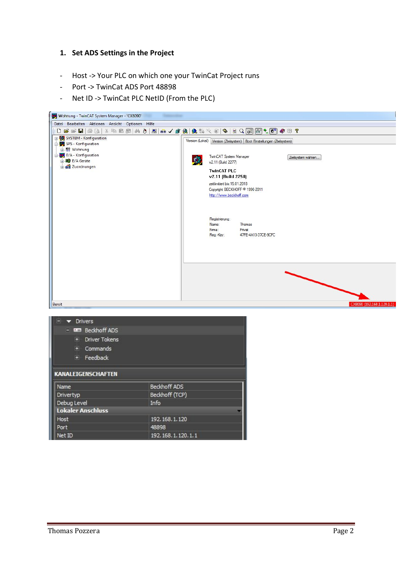#### **1. Set ADS Settings in the Project**

- Host -> Your PLC on which one your TwinCat Project runs
- Port -> TwinCat ADS Port 48898
- Net ID -> TwinCat PLC NetID (From the PLC)



| <b>Drivers</b>                    |                |  |  |  |
|-----------------------------------|----------------|--|--|--|
| - mm Beckhoff ADS                 |                |  |  |  |
| <b>Driver Tokens</b><br>$+$       |                |  |  |  |
| Ŧ<br>Commands                     |                |  |  |  |
| + Feedback                        |                |  |  |  |
| <b>KANALEIGENSCHAFTEN</b><br>Name | Beckhoff ADS   |  |  |  |
| Drivertyp                         | Beckhoff (TCP) |  |  |  |
| Debug Level                       | Info           |  |  |  |
| <b>Lokaler Anschluss</b>          |                |  |  |  |
| 192.168.1.120<br>Host             |                |  |  |  |
| Port<br>48898                     |                |  |  |  |
| 192.168.1.120.1.1<br>Net ID       |                |  |  |  |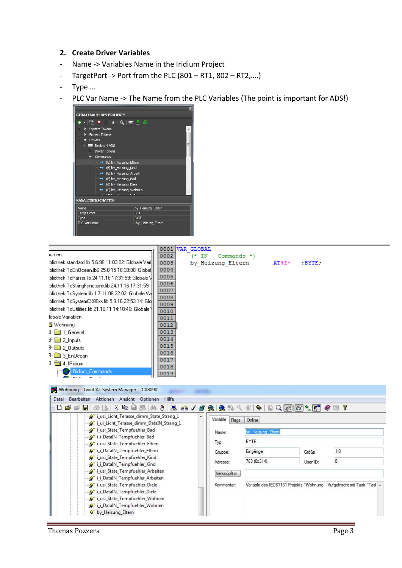#### **2. Create Driver Variables**

- Name -> Variables Name in the Iridium Project
- TargetPort -> Port from the PLC (801 RT1, 802 RT2,….)
- Type….
- PLC Var Name -> The Name from the PLC Variables (The point is important for ADS!)



|                                                        | 0001         | VAR GLOBAL            |          |           |
|--------------------------------------------------------|--------------|-----------------------|----------|-----------|
| <b>Jurcen</b>                                          | 0002         | $(* IN - Commands *)$ |          |           |
| ibliothek standard.lib 5.6.98 11:03:02: Globale Varill | 0003         | by Heizung Eltern     | $AT\$I*$ | $:$ BYTE; |
| ibliothek TcEnOcean.Ib6 25.8.15 16:38:08: Globall      | 0004         |                       |          |           |
| ibliothek TcParser.lib 24.11.16 17:31:59: Globale \    | 0005         |                       |          |           |
| ibliothek TcStringFunctions.lib 24.11.16 17:31:59:     | 0006         |                       |          |           |
| ibliothek TcSystem.lib 1.7.11 08:22:02: Globale Vall   | 0007         |                       |          |           |
| ibliothek TcSystemCX80xx.lib 5.9.16 22:53:14: Glo      | 0008<br>0009 |                       |          |           |
| ibliothek TcUtilities.lib 21.10.11 14:18:46: Globale \ | 0010         |                       |          |           |
| lobale Variablen                                       | 0011         |                       |          |           |
| Nohnung                                                | 0012         |                       |          |           |
| <b>J</b> <sup>-1</sup> General                         | 0013         |                       |          |           |
| $\exists$ $\equiv$ 2 Inputs                            | 0014         |                       |          |           |
| $\exists$ $\exists$ 2_0 utputs                         | 0015         |                       |          |           |
| <b>J</b> <sup>-</sup> 3 EnDcean                        | 0016         |                       |          |           |
| $\exists$ 4   Ridium                                   | 0017<br>0018 |                       |          |           |
| IRidium_Commands                                       | 0019         |                       |          |           |
|                                                        |              |                       |          |           |
| Wohnung - TwinCAT System Manager - 'CX8090'            |              |                       |          |           |
| Datei Rearheiten Altinnen Ansicht Ontinnen Hilfe       |              |                       |          |           |

| 0 2 2 4 4 4 4 4 4 5 6 7 8 9 4 5 6 7 8 9 8 7 8 9 4<br><b>State Strang 1</b><br>×. | Variable     |                  | $ E Q \hat{\theta}  \theta \hat{\theta}$ | 8 P                                                                     |
|----------------------------------------------------------------------------------|--------------|------------------|------------------------------------------|-------------------------------------------------------------------------|
| <b>Strang 1</b> Licht Terasse dimm DataIN Strang 1                               | Flags        | Online           |                                          |                                                                         |
| <b>Sof</b> i_usi_State_Tempfuehler_Bad                                           | Name:        | by Heizung Eltem |                                          |                                                                         |
| <b>Sof</b> i i DataIN Tempfuehler Bad                                            |              | <b>BYTE</b>      |                                          |                                                                         |
| <b>Sof</b> i_usi_State_Tempfuehler_Eltern                                        | Typ:         |                  |                                          |                                                                         |
| <b>Sof</b> i_i_DataIN_Tempfuehler_Eltern                                         | Gruppe:      | Eingänge         | Größe                                    | 1.0                                                                     |
| <b>Sof</b> i_usi_State_Tempfuehler_Kind                                          |              | 788 (0x314)      |                                          | 0                                                                       |
| <b>At i_i_DataIN_Tempfuehler_Kind</b>                                            | Adresse:     |                  | User ID:                                 |                                                                         |
| <b>At i_usi_State_Tempfuehler_Arbeiten</b>                                       | Verknüpft m. |                  |                                          |                                                                         |
| <b>At i_i_DataIN_Tempfuehler_Arbeiten</b>                                        |              |                  |                                          |                                                                         |
| <b>At i_usi_State_Tempfuehler_Diele</b>                                          | Kommentar:   |                  |                                          | Variable des IEC61131 Projekts "Wohnung". Aufgefrischt mit Task "Tasl A |
| <b>At i_i_DataIN_Tempfuehler_Diele</b>                                           |              |                  |                                          |                                                                         |
| <b>Sof</b> i_usi_State_Tempfuehler_Wohnen                                        |              |                  |                                          |                                                                         |
| <b>Sof</b> i_i_DataIN_Tempfuehler_Wohnen                                         |              |                  |                                          |                                                                         |
| of by Heizung Eltern                                                             |              |                  |                                          |                                                                         |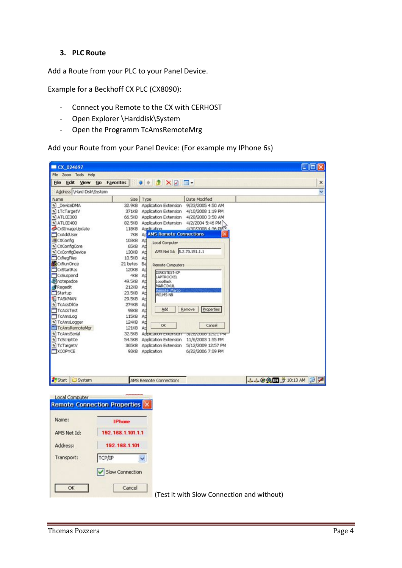## **3. PLC Route**

Add a Route from your PLC to your Panel Device.

Example for a Beckhoff CX PLC (CX8090):

- Connect you Remote to the CX with CERHOST
- Open Explorer \Harddisk\System
- Open the Programm TcAmsRemoteMrg

Add your Route from your Panel Device: (For example my IPhone 6s)

| CX 024697                                             |                                                                                   |                                                                  |                                          | $\Box$                                     |
|-------------------------------------------------------|-----------------------------------------------------------------------------------|------------------------------------------------------------------|------------------------------------------|--------------------------------------------|
| File<br>Zoom Tools Help                               |                                                                                   |                                                                  |                                          |                                            |
| File<br>Edit<br>View                                  | Go<br>Favorites                                                                   | $\bullet$ $\bullet$ $\times$ $\circ$<br>٠                        |                                          | ×                                          |
| Address \Hard Disk\System                             |                                                                                   |                                                                  |                                          |                                            |
| Name                                                  |                                                                                   | Size Type                                                        | Date Modified                            |                                            |
| <sup>6</sup> DeviceDMA                                | 32.9KB                                                                            | Application Extension                                            | 9/23/2005 4:50 AM                        |                                            |
| * 1TcTargetV                                          |                                                                                   | 371KB Application Extension                                      | 4/10/2008 1:19 PM                        |                                            |
| SATLCE300                                             |                                                                                   | 66.5KB Application Extension 4/28/2000 3:58 AM                   |                                          |                                            |
| SATLCE400                                             | 82.5KB                                                                            | Application Extension 4/2/2004 5:46 PM                           |                                          |                                            |
| Cx9ImageUpdate                                        |                                                                                   | 118KB Application                                                | 4/30/2008 4:36 PM <sup>V</sup>           |                                            |
| CxAddUser                                             | 7KB                                                                               | AL AMS Remote Connections                                        |                                          |                                            |
| <b>进CXConfig</b>                                      | 103KB AD                                                                          | Local Computer                                                   |                                          |                                            |
| S CXConfigCore                                        | 65KB Ad                                                                           |                                                                  |                                          |                                            |
| * CxConfigDevice                                      | 130KB Ap                                                                          | AMS Net Id: 5.2.70.151.1.1                                       |                                          |                                            |
| CxRegFiles                                            | 10.5KB Ad                                                                         |                                                                  |                                          |                                            |
| CxRunOnce                                             | 21 bytes Ba                                                                       | Remote Computers                                                 |                                          |                                            |
| CxStartRas                                            | 120KB Ap                                                                          | DIRKSTEST-XP                                                     |                                          |                                            |
| CxSuspend                                             | 4KB Ad                                                                            | <b>APTROCKEL</b>                                                 |                                          |                                            |
| <i><b>M</b></i> notepadce                             | 49.5KB AD                                                                         | LoopBack<br>MARCOKUL                                             |                                          |                                            |
| <b>Regedit</b>                                        | 212KB Ap                                                                          | temote Marco                                                     |                                          |                                            |
| Startup                                               | 23.5KB                                                                            | Ad<br>WILMS-NB                                                   |                                          |                                            |
| <b>E</b> TASKMAN                                      | 29.5KB                                                                            | Ad                                                               |                                          |                                            |
| S TcAdsDICe                                           | 274KB                                                                             | Ad<br>Add                                                        | Properties<br>Remove                     |                                            |
| TcAdsTest                                             | 98KB Ap                                                                           |                                                                  |                                          |                                            |
| TcAmsLog                                              | 115KB                                                                             | Ad                                                               |                                          |                                            |
| * TcAmsLogger                                         | 124KB                                                                             | Ad<br>OK.                                                        | Cancel                                   |                                            |
| TcAmsRemoteMgr                                        | 121KB                                                                             | Ad                                                               |                                          |                                            |
| <sup>9</sup> TcAmsSerial<br><sup>o</sup> ] TcScriptCe | 32.5KB<br>54.5KB                                                                  | Аррасатолт ехтельтогт<br>Application Extension 11/6/2003 1:55 PM | 372872008 12:21 PM                       |                                            |
| TcTargetV                                             | 365KB                                                                             |                                                                  | Application Extension 5/12/2009 12:57 PM |                                            |
| XCOPYCE                                               | 93KB                                                                              | Application                                                      | 6/22/2006 7:09 PM                        |                                            |
|                                                       |                                                                                   |                                                                  |                                          |                                            |
| Start  <br>System                                     |                                                                                   | AMS Remote Connections                                           |                                          | 11990 3 10:13 AM 2                         |
| Local Computer<br>Name:<br>AMS Net Id:                | wwww<br><b>Remote Connection Properties</b><br><b>IPhone</b><br>192.168.1.101.1.1 |                                                                  |                                          |                                            |
| Address:<br>Transport:                                | 192.168.1.101<br>TCP/IP                                                           |                                                                  |                                          |                                            |
| ОК                                                    | Slow Connection<br>Cancel                                                         |                                                                  |                                          | (Test it with Slow Connection and without) |
|                                                       |                                                                                   |                                                                  |                                          |                                            |